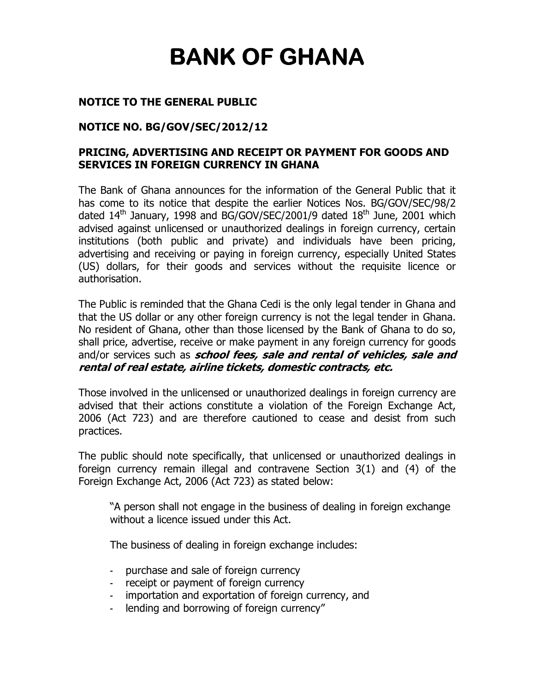# **BANK OF GHANA**

### **NOTICE TO THE GENERAL PUBLIC**

### **NOTICE NO. BG/GOV/SEC/2012/12**

## **PRICING, ADVERTISING AND RECEIPT OR PAYMENT FOR GOODS AND SERVICES IN FOREIGN CURRENCY IN GHANA**

The Bank of Ghana announces for the information of the General Public that it has come to its notice that despite the earlier Notices Nos. BG/GOV/SEC/98/2 dated  $14^{\text{th}}$  January, 1998 and BG/GOV/SEC/2001/9 dated  $18^{\text{th}}$  June, 2001 which advised against unlicensed or unauthorized dealings in foreign currency, certain institutions (both public and private) and individuals have been pricing, advertising and receiving or paying in foreign currency, especially United States (US) dollars, for their goods and services without the requisite licence or authorisation.

The Public is reminded that the Ghana Cedi is the only legal tender in Ghana and that the US dollar or any other foreign currency is not the legal tender in Ghana. No resident of Ghana, other than those licensed by the Bank of Ghana to do so, shall price, advertise, receive or make payment in any foreign currency for goods and/or services such as **school fees, sale and rental of vehicles, sale and rental of real estate, airline tickets, domestic contracts, etc.** 

Those involved in the unlicensed or unauthorized dealings in foreign currency are advised that their actions constitute a violation of the Foreign Exchange Act, 2006 (Act 723) and are therefore cautioned to cease and desist from such practices.

The public should note specifically, that unlicensed or unauthorized dealings in foreign currency remain illegal and contravene Section 3(1) and (4) of the Foreign Exchange Act, 2006 (Act 723) as stated below:

"A person shall not engage in the business of dealing in foreign exchange without a licence issued under this Act.

The business of dealing in foreign exchange includes:

- purchase and sale of foreign currency
- receipt or payment of foreign currency
- importation and exportation of foreign currency, and
- lending and borrowing of foreign currency"